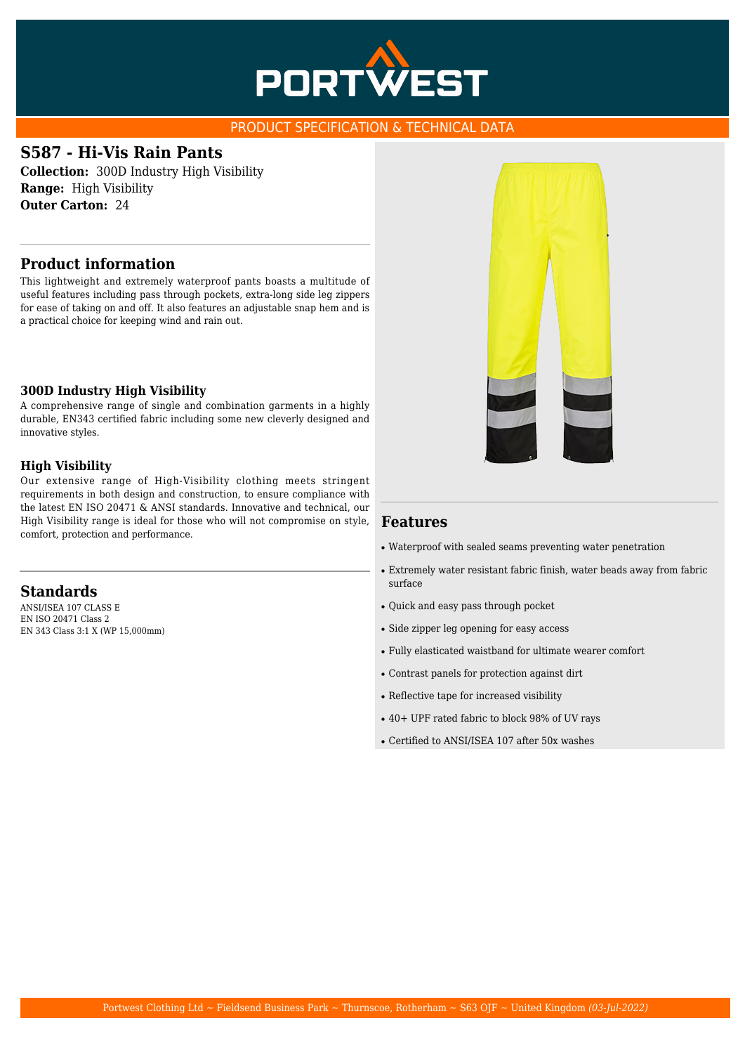

#### PRODUCT SPECIFICATION & TECHNICAL DATA

## **S587 - Hi-Vis Rain Pants**

**Collection:** 300D Industry High Visibility **Range:** High Visibility **Outer Carton:** 24

#### **Product information**

This lightweight and extremely waterproof pants boasts a multitude of useful features including pass through pockets, extra-long side leg zippers for ease of taking on and off. It also features an adjustable snap hem and is a practical choice for keeping wind and rain out.

#### **300D Industry High Visibility**

A comprehensive range of single and combination garments in a highly durable, EN343 certified fabric including some new cleverly designed and innovative styles.

#### **High Visibility**

Our extensive range of High-Visibility clothing meets stringent requirements in both design and construction, to ensure compliance with the latest EN ISO 20471 & ANSI standards. Innovative and technical, our High Visibility range is ideal for those who will not compromise on style, comfort, protection and performance.

#### **Standards**

ANSI/ISEA 107 CLASS E EN ISO 20471 Class 2 EN 343 Class 3:1 X (WP 15,000mm)



#### **Features**

- Waterproof with sealed seams preventing water penetration
- Extremely water resistant fabric finish, water beads away from fabric surface
- Quick and easy pass through pocket
- Side zipper leg opening for easy access
- Fully elasticated waistband for ultimate wearer comfort
- Contrast panels for protection against dirt
- Reflective tape for increased visibility
- 40+ UPF rated fabric to block 98% of UV rays
- Certified to ANSI/ISEA 107 after 50x washes